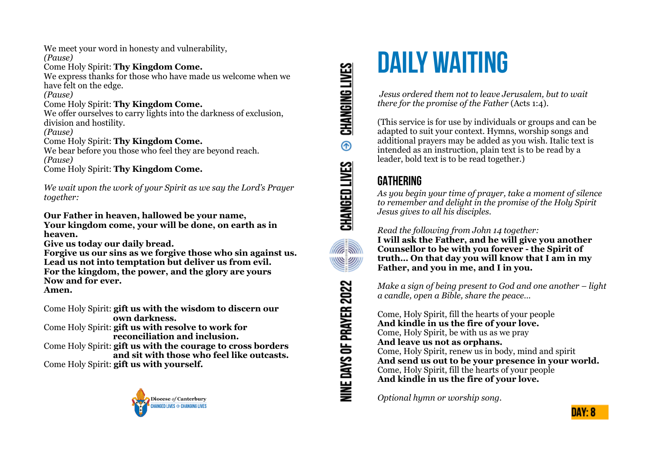We meet your word in honesty and vulnerability,

*(Pause)*

#### Come Holy Spirit: **Thy Kingdom Come.**

We express thanks for those who have made us welcome when we have felt on the edge.

*(Pause)*

### Come Holy Spirit: **Thy Kingdom Come.**

We offer ourselves to carry lights into the darkness of exclusion, division and hostility.

*(Pause)*

#### Come Holy Spirit: **Thy Kingdom Come.**

We bear before you those who feel they are beyond reach. *(Pause)*

Come Holy Spirit: **Thy Kingdom Come.**

*We wait upon the work of your Spirit as we say the Lord's Prayer together:*

**Our Father in heaven, hallowed be your name, Your kingdom come, your will be done, on earth as in heaven.** 

**Give us today our daily bread.** 

**Forgive us our sins as we forgive those who sin against us. Lead us not into temptation but deliver us from evil. For the kingdom, the power, and the glory are yours Now and for ever. Amen.**

Come Holy Spirit: **gift us with the wisdom to discern our own darkness.** 

Come Holy Spirit: **gift us with resolve to work for reconciliation and inclusion.**

Come Holy Spirit: **gift us with the courage to cross borders and sit with those who feel like outcasts.** Come Holy Spirit: **gift us with yourself.**



CHANGING LIVES  $^{\circ}$ CHANGED LIVES **ARAN** <u>WWW</u> **NINE DAYS OF PRAYER 2022** 

# **DAILY WAITING**

 *Jesus ordered them not to leave Jerusalem, but to wait there for the promise of the Father* (Acts 1:4).

(This service is for use by individuals or groups and can be adapted to suit your context. Hymns, worship songs and additional prayers may be added as you wish. Italic text is intended as an instruction, plain text is to be read by a leader, bold text is to be read together.)

# **GATHERING**

*As you begin your time of prayer, take a moment of silence to remember and delight in the promise of the Holy Spirit Jesus gives to all his disciples.*

## *Read the following from John 14 together:*



**I will ask the Father, and he will give you another Counsellor to be with you forever - the Spirit of truth… On that day you will know that I am in my Father, and you in me, and I in you.** 

*Make a sign of being present to God and one another – light a candle, open a Bible, share the peace…* 

Come, Holy Spirit, fill the hearts of your people **And kindle in us the fire of your love.**  Come, Holy Spirit, be with us as we pray **And leave us not as orphans.**  Come, Holy Spirit, renew us in body, mind and spirit **And send us out to be your presence in your world.**  Come, Holy Spirit, fill the hearts of your people **And kindle in us the fire of your love.**

*Optional hymn or worship song.*